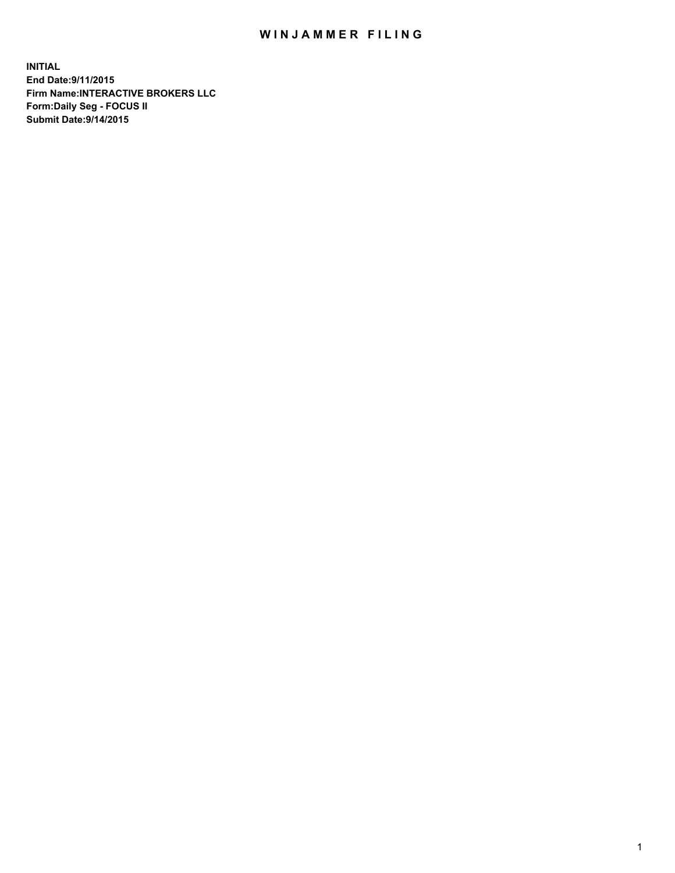## WIN JAMMER FILING

**INITIAL End Date:9/11/2015 Firm Name:INTERACTIVE BROKERS LLC Form:Daily Seg - FOCUS II Submit Date:9/14/2015**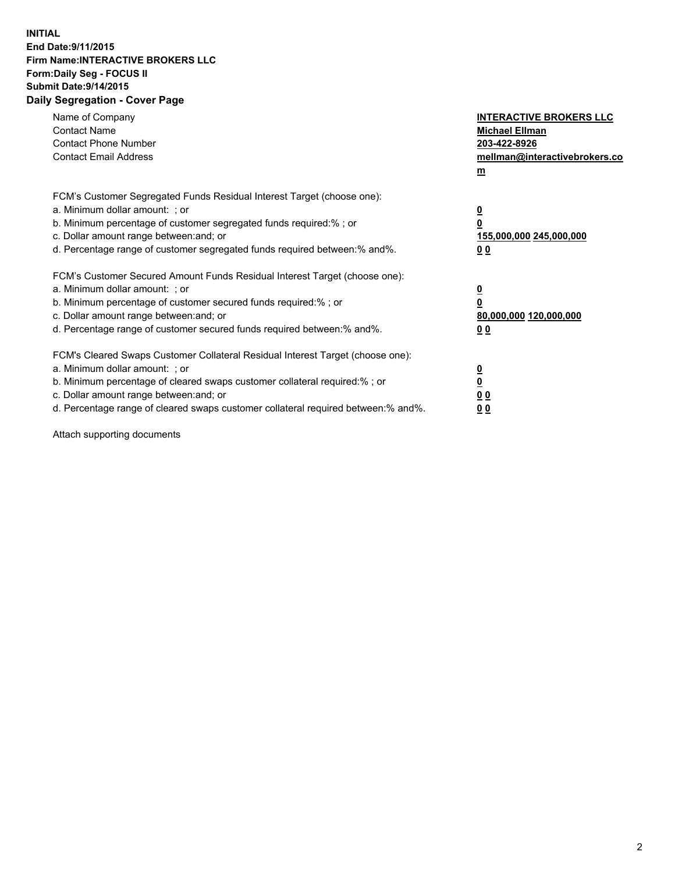## **INITIAL End Date:9/11/2015 Firm Name:INTERACTIVE BROKERS LLC Form:Daily Seg - FOCUS II Submit Date:9/14/2015 Daily Segregation - Cover Page**

| Name of Company<br><b>Contact Name</b><br><b>Contact Phone Number</b><br><b>Contact Email Address</b>                                                                                                                                                                                                                          | <b>INTERACTIVE BROKERS LLC</b><br><b>Michael Ellman</b><br>203-422-8926<br>mellman@interactivebrokers.co<br>$m$ |
|--------------------------------------------------------------------------------------------------------------------------------------------------------------------------------------------------------------------------------------------------------------------------------------------------------------------------------|-----------------------------------------------------------------------------------------------------------------|
| FCM's Customer Segregated Funds Residual Interest Target (choose one):<br>a. Minimum dollar amount: ; or<br>b. Minimum percentage of customer segregated funds required:% ; or<br>c. Dollar amount range between: and; or<br>d. Percentage range of customer segregated funds required between: % and %.                       | $\overline{\mathbf{0}}$<br>0<br>155,000,000 245,000,000<br>00                                                   |
| FCM's Customer Secured Amount Funds Residual Interest Target (choose one):<br>a. Minimum dollar amount: ; or<br>b. Minimum percentage of customer secured funds required:%; or<br>c. Dollar amount range between: and; or<br>d. Percentage range of customer secured funds required between: % and %.                          | $\overline{\mathbf{0}}$<br>0<br>80,000,000 120,000,000<br>0 <sub>0</sub>                                        |
| FCM's Cleared Swaps Customer Collateral Residual Interest Target (choose one):<br>a. Minimum dollar amount: ; or<br>b. Minimum percentage of cleared swaps customer collateral required:% ; or<br>c. Dollar amount range between: and; or<br>d. Percentage range of cleared swaps customer collateral required between:% and%. | $\overline{\mathbf{0}}$<br>$\underline{\mathbf{0}}$<br>0 <sub>0</sub><br>0 <sub>0</sub>                         |

Attach supporting documents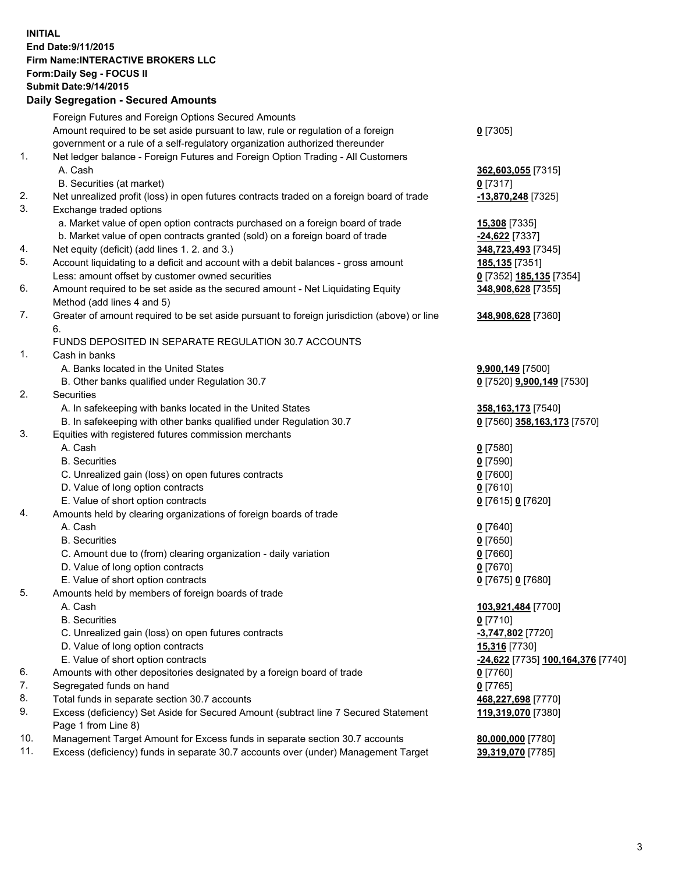## **INITIAL End Date:9/11/2015 Firm Name:INTERACTIVE BROKERS LLC Form:Daily Seg - FOCUS II Submit Date:9/14/2015 Daily Segregation - Secured Amounts**

|     | Dany Ocgregation - Oceanea Annoanta                                                         |                                                |
|-----|---------------------------------------------------------------------------------------------|------------------------------------------------|
|     | Foreign Futures and Foreign Options Secured Amounts                                         |                                                |
|     | Amount required to be set aside pursuant to law, rule or regulation of a foreign            | $0$ [7305]                                     |
|     | government or a rule of a self-regulatory organization authorized thereunder                |                                                |
| 1.  | Net ledger balance - Foreign Futures and Foreign Option Trading - All Customers             |                                                |
|     | A. Cash                                                                                     | 362,603,055 [7315]                             |
|     | B. Securities (at market)                                                                   | $0$ [7317]                                     |
| 2.  | Net unrealized profit (loss) in open futures contracts traded on a foreign board of trade   | -13,870,248 [7325]                             |
| 3.  | Exchange traded options                                                                     |                                                |
|     | a. Market value of open option contracts purchased on a foreign board of trade              | <b>15,308</b> [7335]                           |
|     | b. Market value of open contracts granted (sold) on a foreign board of trade                | -24,622 [7337]                                 |
| 4.  | Net equity (deficit) (add lines 1.2. and 3.)                                                | 348,723,493 [7345]                             |
| 5.  | Account liquidating to a deficit and account with a debit balances - gross amount           | <u>185,135</u> [7351]                          |
|     | Less: amount offset by customer owned securities                                            | 0 [7352] 185,135 [7354]                        |
| 6.  | Amount required to be set aside as the secured amount - Net Liquidating Equity              | 348,908,628 [7355]                             |
|     | Method (add lines 4 and 5)                                                                  |                                                |
| 7.  | Greater of amount required to be set aside pursuant to foreign jurisdiction (above) or line | 348,908,628 [7360]                             |
|     | 6.                                                                                          |                                                |
|     | FUNDS DEPOSITED IN SEPARATE REGULATION 30.7 ACCOUNTS                                        |                                                |
| 1.  | Cash in banks                                                                               |                                                |
|     | A. Banks located in the United States                                                       | 9,900,149 [7500]                               |
|     | B. Other banks qualified under Regulation 30.7                                              | 0 [7520] 9,900,149 [7530]                      |
| 2.  | Securities                                                                                  |                                                |
|     | A. In safekeeping with banks located in the United States                                   | 358, 163, 173 [7540]                           |
|     | B. In safekeeping with other banks qualified under Regulation 30.7                          | 0 [7560] 358,163,173 [7570]                    |
| 3.  | Equities with registered futures commission merchants                                       |                                                |
|     | A. Cash                                                                                     | $0$ [7580]                                     |
|     | <b>B.</b> Securities                                                                        | $0$ [7590]                                     |
|     | C. Unrealized gain (loss) on open futures contracts                                         | $0$ [7600]                                     |
|     | D. Value of long option contracts                                                           | $0$ [7610]                                     |
|     | E. Value of short option contracts                                                          | 0 [7615] 0 [7620]                              |
| 4.  | Amounts held by clearing organizations of foreign boards of trade                           |                                                |
|     | A. Cash                                                                                     | $0$ [7640]                                     |
|     | <b>B.</b> Securities                                                                        | $0$ [7650]                                     |
|     | C. Amount due to (from) clearing organization - daily variation                             | $0$ [7660]                                     |
|     | D. Value of long option contracts                                                           | $0$ [7670]                                     |
|     | E. Value of short option contracts                                                          | 0 [7675] 0 [7680]                              |
| 5.  | Amounts held by members of foreign boards of trade                                          |                                                |
|     | A. Cash                                                                                     | 103,921,484 [7700]                             |
|     | <b>B.</b> Securities                                                                        | $0$ [7710]                                     |
|     | C. Unrealized gain (loss) on open futures contracts                                         | -3,747,802 [7720]                              |
|     | D. Value of long option contracts                                                           | 15,316 [7730]                                  |
|     | E. Value of short option contracts                                                          | <mark>-24,622</mark> [7735] 100,164,376 [7740] |
| 6.  | Amounts with other depositories designated by a foreign board of trade                      | 0 [7760]                                       |
| 7.  | Segregated funds on hand                                                                    | $0$ [7765]                                     |
| 8.  | Total funds in separate section 30.7 accounts                                               | 468,227,698 [7770]                             |
| 9.  | Excess (deficiency) Set Aside for Secured Amount (subtract line 7 Secured Statement         | 119,319,070 [7380]                             |
|     | Page 1 from Line 8)                                                                         |                                                |
| 10. | Management Target Amount for Excess funds in separate section 30.7 accounts                 | 80,000,000 [7780]                              |
| 11. | Excess (deficiency) funds in separate 30.7 accounts over (under) Management Target          | <u>39,319,070</u> [7785]                       |
|     |                                                                                             |                                                |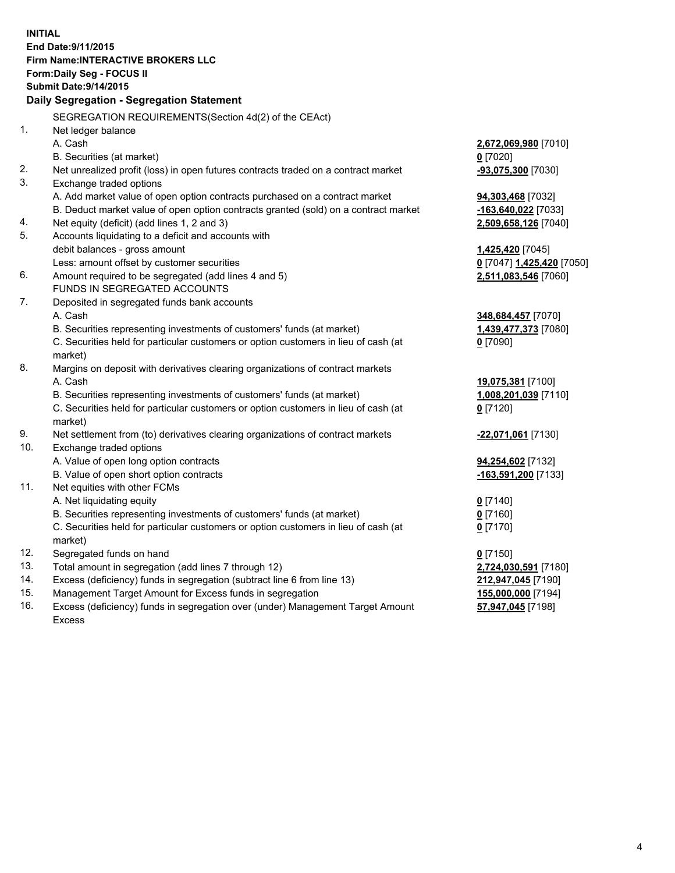**INITIAL End Date:9/11/2015 Firm Name:INTERACTIVE BROKERS LLC Form:Daily Seg - FOCUS II Submit Date:9/14/2015 Daily Segregation - Segregation Statement** SEGREGATION REQUIREMENTS(Section 4d(2) of the CEAct) 1. Net ledger balance A. Cash **2,672,069,980** [7010] B. Securities (at market) **0** [7020] 2. Net unrealized profit (loss) in open futures contracts traded on a contract market **-93,075,300** [7030] 3. Exchange traded options A. Add market value of open option contracts purchased on a contract market **94,303,468** [7032] B. Deduct market value of open option contracts granted (sold) on a contract market **-163,640,022** [7033] 4. Net equity (deficit) (add lines 1, 2 and 3) **2,509,658,126** [7040] 5. Accounts liquidating to a deficit and accounts with debit balances - gross amount **1,425,420** [7045] Less: amount offset by customer securities **0** [7047] **1,425,420** [7050] 6. Amount required to be segregated (add lines 4 and 5) **2,511,083,546** [7060] FUNDS IN SEGREGATED ACCOUNTS 7. Deposited in segregated funds bank accounts A. Cash **348,684,457** [7070] B. Securities representing investments of customers' funds (at market) **1,439,477,373** [7080] C. Securities held for particular customers or option customers in lieu of cash (at market) **0** [7090] 8. Margins on deposit with derivatives clearing organizations of contract markets A. Cash **19,075,381** [7100] B. Securities representing investments of customers' funds (at market) **1,008,201,039** [7110] C. Securities held for particular customers or option customers in lieu of cash (at market) **0** [7120] 9. Net settlement from (to) derivatives clearing organizations of contract markets **-22,071,061** [7130] 10. Exchange traded options A. Value of open long option contracts **94,254,602** [7132] B. Value of open short option contracts **-163,591,200** [7133] 11. Net equities with other FCMs A. Net liquidating equity **0** [7140] B. Securities representing investments of customers' funds (at market) **0** [7160] C. Securities held for particular customers or option customers in lieu of cash (at market) **0** [7170] 12. Segregated funds on hand **0** [7150] 13. Total amount in segregation (add lines 7 through 12) **2,724,030,591** [7180] 14. Excess (deficiency) funds in segregation (subtract line 6 from line 13) **212,947,045** [7190] 15. Management Target Amount for Excess funds in segregation **155,000,000** [7194] **57,947,045** [7198]

16. Excess (deficiency) funds in segregation over (under) Management Target Amount Excess

4